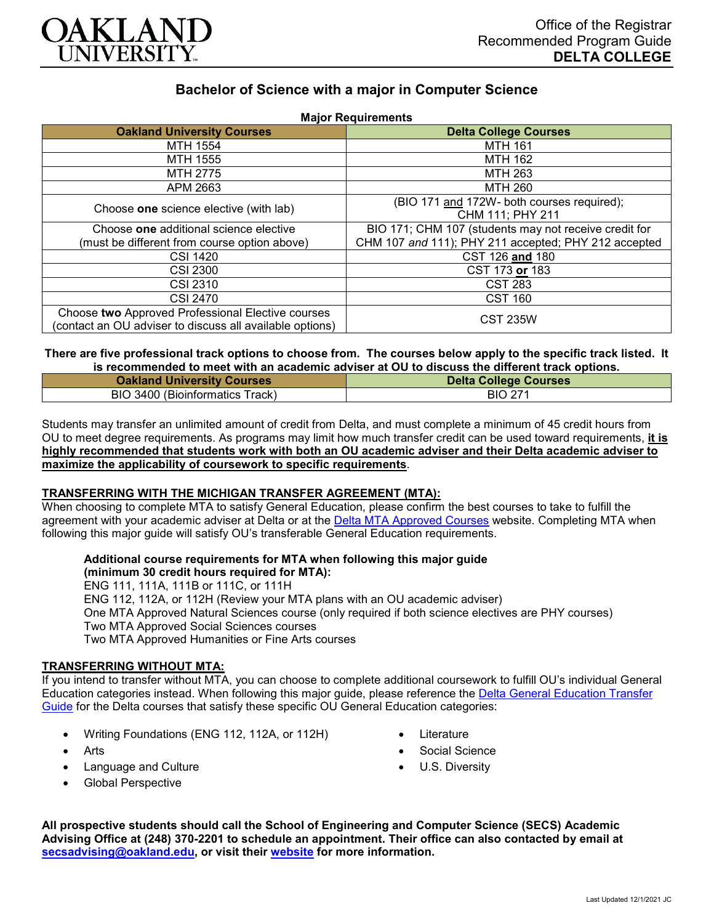

# **Bachelor of Science with a major in Computer Science**

| <b>Major Requirements</b>                                |                                                       |
|----------------------------------------------------------|-------------------------------------------------------|
| <b>Oakland University Courses</b>                        | <b>Delta College Courses</b>                          |
| MTH 1554                                                 | <b>MTH 161</b>                                        |
| MTH 1555                                                 | <b>MTH 162</b>                                        |
| <b>MTH 2775</b>                                          | MTH 263                                               |
| APM 2663                                                 | MTH 260                                               |
| Choose one science elective (with lab)                   | (BIO 171 and 172W- both courses required);            |
|                                                          | CHM 111; PHY 211                                      |
| Choose one additional science elective                   | BIO 171; CHM 107 (students may not receive credit for |
| (must be different from course option above)             | CHM 107 and 111); PHY 211 accepted; PHY 212 accepted  |
| <b>CSI 1420</b>                                          | CST 126 and 180                                       |
| <b>CSI 2300</b>                                          | CST 173 or 183                                        |
| CSI 2310                                                 | <b>CST 283</b>                                        |
| <b>CSI 2470</b>                                          | <b>CST 160</b>                                        |
| Choose two Approved Professional Elective courses        | <b>CST 235W</b>                                       |
| (contact an OU adviser to discuss all available options) |                                                       |

#### **There are five professional track options to choose from. The courses below apply to the specific track listed. It is recommended to meet with an academic adviser at OU to discuss the different track options.**

| <b>Oakland University Courses</b> | <b>Delta College Courses</b> |
|-----------------------------------|------------------------------|
| BIO 3400 (Bioinformatics Track)   | BIO 271                      |

Students may transfer an unlimited amount of credit from Delta, and must complete a minimum of 45 credit hours from OU to meet degree requirements. As programs may limit how much transfer credit can be used toward requirements, **it is highly recommended that students work with both an OU academic adviser and their Delta academic adviser to maximize the applicability of coursework to specific requirements**.

# **TRANSFERRING WITH THE MICHIGAN TRANSFER AGREEMENT (MTA):**

When choosing to complete MTA to satisfy General Education, please confirm the best courses to take to fulfill the agreement with your academic adviser at Delta or at the [Delta MTA Approved Courses](http://catalog.delta.edu/content.php?catoid=11&navoid=1451) website. Completing MTA when following this major guide will satisfy OU's transferable General Education requirements.

# **Additional course requirements for MTA when following this major guide**

**(minimum 30 credit hours required for MTA):** ENG 111, 111A, 111B or 111C, or 111H ENG 112, 112A, or 112H (Review your MTA plans with an OU academic adviser) One MTA Approved Natural Sciences course (only required if both science electives are PHY courses) Two MTA Approved Social Sciences courses Two MTA Approved Humanities or Fine Arts courses

### **TRANSFERRING WITHOUT MTA:**

If you intend to transfer without MTA, you can choose to complete additional coursework to fulfill OU's individual General Education categories instead. When following this major guide, please reference the [Delta General Education Transfer](https://www.oakland.edu/Assets/Oakland/program-guides/delta-college/university-general-education-requirements/Delta%20Gen%20Ed.pdf)  [Guide](https://www.oakland.edu/Assets/Oakland/program-guides/delta-college/university-general-education-requirements/Delta%20Gen%20Ed.pdf) for the Delta courses that satisfy these specific OU General Education categories:

- Writing Foundations (ENG 112, 112A, or 112H)
- **Arts**
- Language and Culture
- Global Perspective
- **Literature**
- Social Science
- U.S. Diversity

**All prospective students should call the School of Engineering and Computer Science (SECS) Academic Advising Office at (248) 370-2201 to schedule an appointment. Their office can also contacted by email at [secsadvising@oakland.edu,](mailto:secsadvising@oakland.edu) or visit their [website](https://wwwp.oakland.edu/secs/advising/) for more information.**